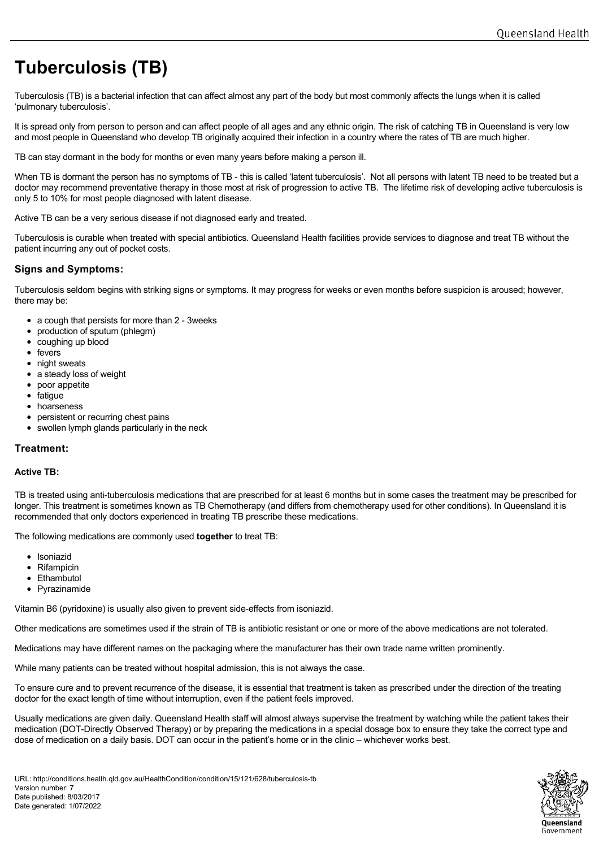# **Tuberculosis (TB)**

Tuberculosis (TB) is a bacterial infection that can affect almost any part of the body but most commonly affects the lungs when it is called 'pulmonary tuberculosis'.

It is spread only from person to person and can affect people of all ages and any ethnic origin. The risk of catching TB in Queensland is very low and most people in Queensland who develop TB originally acquired their infection in a country where the rates of TB are much higher.

TB can stay dormant in the body for months or even many years before making a person ill.

When TB is dormant the person has no symptoms of TB - this is called 'latent tuberculosis'. Not all persons with latent TB need to be treated but a doctor may recommend preventative therapy in those most at risk of progression to active TB. The lifetime risk of developing active tuberculosis is only 5 to 10% for most people diagnosed with latent disease.

Active TB can be a very serious disease if not diagnosed early and treated.

Tuberculosis is curable when treated with special antibiotics. Queensland Health facilities provide services to diagnose and treat TB without the patient incurring any out of pocket costs.

## **Signs and Symptoms:**

Tuberculosis seldom begins with striking signs or symptoms. It may progress for weeks or even months before suspicion is aroused; however, there may be:

- a cough that persists for more than 2 3weeks
- production of sputum (phlegm)
- coughing up blood
- fevers
- night sweats
- a steady loss of weight
- poor appetite
- fatique
- hoarseness
- persistent or recurring chest pains
- swollen lymph glands particularly in the neck

## **Treatment:**

#### **Active TB:**

TB is treated using anti-tuberculosis medications that are prescribed for at least 6 months but in some cases the treatment may be prescribed for longer. This treatment is sometimes known as TB Chemotherapy (and differs from chemotherapy used for other conditions). In Queensland it is recommended that only doctors experienced in treating TB prescribe these medications.

The following medications are commonly used **together** to treat TB:

- Isoniazid
- Rifampicin
- Ethambutol
- Pyrazinamide

Vitamin B6 (pyridoxine) is usually also given to prevent side-effects from isoniazid.

Other medications are sometimes used if the strain of TB is antibiotic resistant or one or more of the above medications are not tolerated.

Medications may have different names on the packaging where the manufacturer has their own trade name written prominently.

While many patients can be treated without hospital admission, this is not always the case.

To ensure cure and to prevent recurrence of the disease, it is essential that treatment is taken as prescribed under the direction of the treating doctor for the exact length of time without interruption, even if the patient feels improved.

Usually medications are given daily. Queensland Health staff will almost always supervise the treatment by watching while the patient takes their medication (DOT-Directly Observed Therapy) or by preparing the medications in a special dosage box to ensure they take the correct type and dose of medication on a daily basis. DOT can occur in the patient's home or in the clinic – whichever works best.

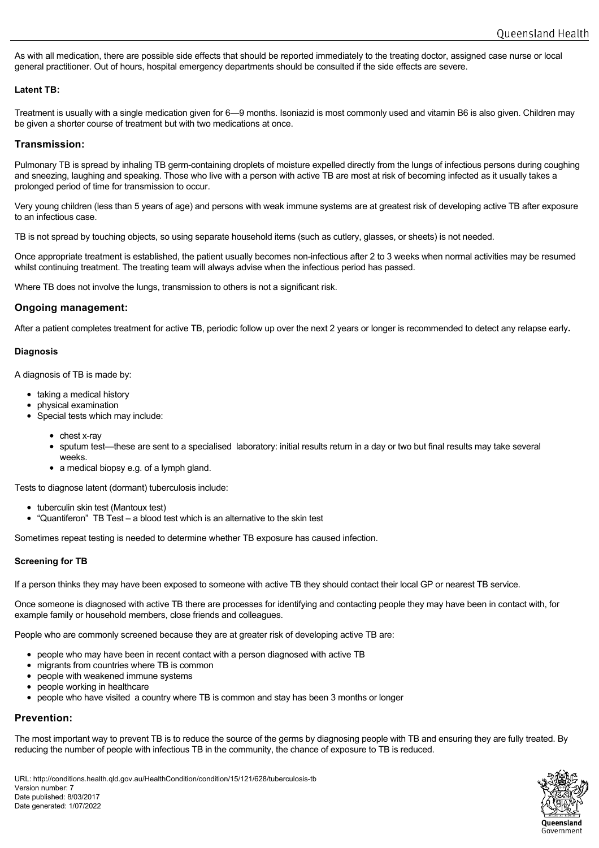As with all medication, there are possible side effects that should be reported immediately to the treating doctor, assigned case nurse or local general practitioner. Out of hours, hospital emergency departments should be consulted if the side effects are severe.

## **Latent TB:**

Treatment is usually with a single medication given for 6—9 months. Isoniazid is most commonly used and vitamin B6 is also given. Children may be given a shorter course of treatment but with two medications at once.

## **Transmission:**

Pulmonary TB is spread by inhaling TB germ-containing droplets of moisture expelled directly from the lungs of infectious persons during coughing and sneezing, laughing and speaking. Those who live with a person with active TB are most at risk of becoming infected as it usually takes a prolonged period of time for transmission to occur.

Very young children (less than 5 years of age) and persons with weak immune systems are at greatest risk of developing active TB after exposure to an infectious case.

TB is not spread by touching objects, so using separate household items (such as cutlery, glasses, or sheets) is not needed.

Once appropriate treatment is established, the patient usually becomes non-infectious after 2 to 3 weeks when normal activities may be resumed whilst continuing treatment. The treating team will always advise when the infectious period has passed.

Where TB does not involve the lungs, transmission to others is not a significant risk.

## **Ongoing management:**

After a patient completes treatment for active TB, periodic follow up over the next 2 years or longer is recommended to detect any relapse early**.**

## **Diagnosis**

A diagnosis of TB is made by:

- taking a medical history
- physical examination
- Special tests which may include:
	- $\bullet$  chest x-ray
	- sputum test—these are sent to a specialised laboratory: initial results return in a day or two but final results may take several weeks.
	- a medical biopsy e.g. of a lymph gland.

Tests to diagnose latent (dormant) tuberculosis include:

- tuberculin skin test (Mantoux test)
- "Quantiferon" TB Test a blood test which is an alternative to the skin test

Sometimes repeat testing is needed to determine whether TB exposure has caused infection.

## **Screening for TB**

If a person thinks they may have been exposed to someone with active TB they should contact their local GP or nearest TB service.

Once someone is diagnosed with active TB there are processes for identifying and contacting people they may have been in contact with, for example family or household members, close friends and colleagues.

People who are commonly screened because they are at greater risk of developing active TB are:

- people who may have been in recent contact with a person diagnosed with active TB
- migrants from countries where TB is common
- $\bullet$  people with weakened immune systems
- people working in healthcare
- people who have visited a country where TB is common and stay has been 3 months or longer

## **Prevention:**

The most important way to prevent TB is to reduce the source of the germs by diagnosing people with TB and ensuring they are fully treated. By reducing the number of people with infectious TB in the community, the chance of exposure to TB is reduced.

URL: http://conditions.health.qld.gov.au/HealthCondition/condition/15/121/628/tuberculosis-tb Version number: 7 Date published: 8/03/2017 Date generated: 1/07/2022